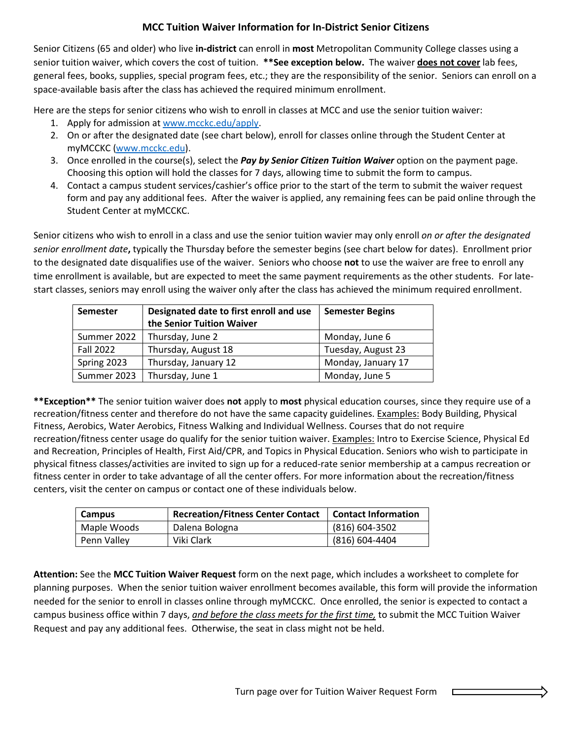# **MCC Tuition Waiver Information for In-District Senior Citizens**

Senior Citizens (65 and older) who live **in-district** can enroll in **most** Metropolitan Community College classes using a senior tuition waiver, which covers the cost of tuition. **\*\*See exception below.** The waiver **does not cover** lab fees, general fees, books, supplies, special program fees, etc.; they are the responsibility of the senior. Seniors can enroll on a space-available basis after the class has achieved the required minimum enrollment.

Here are the steps for senior citizens who wish to enroll in classes at MCC and use the senior tuition waiver:

- 1. Apply for admission a[t www.mcckc.edu/apply.](http://www.mcckc.edu/apply)
- 2. On or after the designated date (see chart below), enroll for classes online through the Student Center at myMCCKC [\(www.mcckc.edu\)](http://www.mcckc.edu/).
- 3. Once enrolled in the course(s), select the *Pay by Senior Citizen Tuition Waiver* option on the payment page. Choosing this option will hold the classes for 7 days, allowing time to submit the form to campus.
- 4. Contact a campus student services/cashier's office prior to the start of the term to submit the waiver request form and pay any additional fees. After the waiver is applied, any remaining fees can be paid online through the Student Center at myMCCKC.

Senior citizens who wish to enroll in a class and use the senior tuition wavier may only enroll *on or after the designated senior enrollment date***,** typically the Thursday before the semester begins (see chart below for dates). Enrollment prior to the designated date disqualifies use of the waiver. Seniors who choose **not** to use the waiver are free to enroll any time enrollment is available, but are expected to meet the same payment requirements as the other students. For latestart classes, seniors may enroll using the waiver only after the class has achieved the minimum required enrollment.

| <b>Semester</b>  | Designated date to first enroll and use<br>the Senior Tuition Waiver | <b>Semester Begins</b> |
|------------------|----------------------------------------------------------------------|------------------------|
| Summer 2022      | Thursday, June 2                                                     | Monday, June 6         |
| <b>Fall 2022</b> | Thursday, August 18                                                  | Tuesday, August 23     |
| Spring 2023      | Thursday, January 12                                                 | Monday, January 17     |
| Summer 2023      | Thursday, June 1                                                     | Monday, June 5         |

**\*\*Exception\*\*** The senior tuition waiver does **not** apply to **most** physical education courses, since they require use of a recreation/fitness center and therefore do not have the same capacity guidelines. Examples: Body Building, Physical Fitness, Aerobics, Water Aerobics, Fitness Walking and Individual Wellness. Courses that do not require recreation/fitness center usage do qualify for the senior tuition waiver. Examples: Intro to Exercise Science, Physical Ed and Recreation, Principles of Health, First Aid/CPR, and Topics in Physical Education. Seniors who wish to participate in physical fitness classes/activities are invited to sign up for a reduced-rate senior membership at a campus recreation or fitness center in order to take advantage of all the center offers. For more information about the recreation/fitness centers, visit the center on campus or contact one of these individuals below.

| Campus      | <b>Recreation/Fitness Center Contact</b> | <b>Contact Information</b> |
|-------------|------------------------------------------|----------------------------|
| Maple Woods | Dalena Bologna                           | (816) 604-3502             |
| Penn Valley | Viki Clark                               | (816) 604-4404             |

**Attention:** See the **MCC Tuition Waiver Request** form on the next page, which includes a worksheet to complete for planning purposes. When the senior tuition waiver enrollment becomes available, this form will provide the information needed for the senior to enroll in classes online through myMCCKC. Once enrolled, the senior is expected to contact a campus business office within 7 days, *and before the class meets for the first time,* to submit the MCC Tuition Waiver Request and pay any additional fees. Otherwise, the seat in class might not be held.

 $\Box$